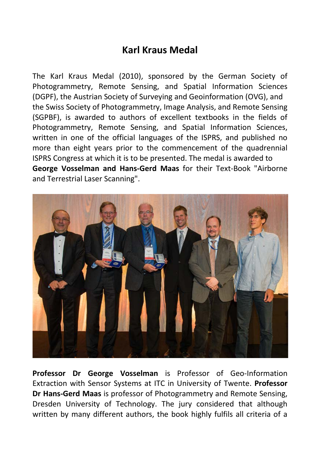## **Karl Kraus Medal**

The Karl Kraus Medal (2010), sponsored by the German Society of Photogrammetry, Remote Sensing, and Spatial Information Sciences (DGPF), the Austrian Society of Surveying and Geoinformation (OVG), and the Swiss Society of Photogrammetry, Image Analysis, and Remote Sensing (SGPBF), is awarded to authors of excellent textbooks in the fields of Photogrammetry, Remote Sensing, and Spatial Information Sciences, written in one of the official languages of the ISPRS, and published no more than eight years prior to the commencement of the quadrennial ISPRS Congress at which it is to be presented. The medal is awarded to **George Vosselman and Hans-Gerd Maas** for their Text-Book "Airborne and Terrestrial Laser Scanning".



**Professor Dr George Vosselman** is Professor of Geo-Information Extraction with Sensor Systems at ITC in University of Twente. **Professor Dr Hans-Gerd Maas** is professor of Photogrammetry and Remote Sensing, Dresden University of Technology. The jury considered that although written by many different authors, the book highly fulfils all criteria of a